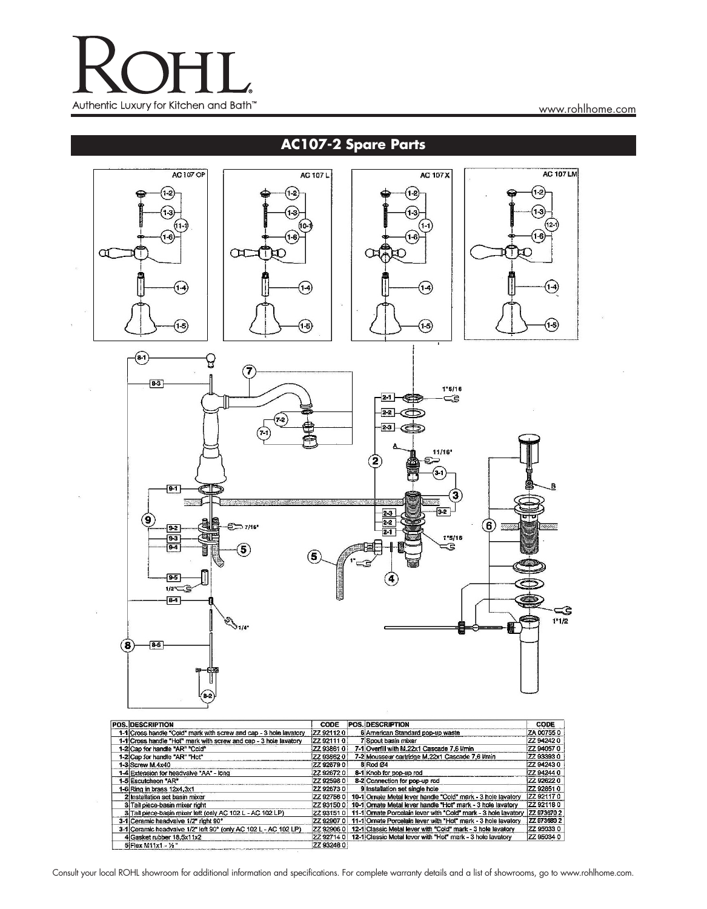

www.rohlhome.com

## **AC107-2 Spare Parts**



| POS. DESCRIPTION                                                  | CODE              | <b>POS. DESCRIPTION</b>                                                   | CODE             |
|-------------------------------------------------------------------|-------------------|---------------------------------------------------------------------------|------------------|
| 1-1 Cross handle "Cold" mark with screw and cap - 3 hole lavatory | <b>ZZ 92112 0</b> | 6 American Standard pop-up waste                                          | ZA 007550        |
| 1-1 Cross handle "Hot" mark with screw and cap - 3 hole lavatory  | ZZ 92111 0        | 7 Scout basin mixer                                                       | 22 94242 0       |
| 1-2 Cap for handle "AR" "Cold"                                    | ZZ 93861 0        | 7-1 Overfill with M.22x1 Cascade 7.6 l/min                                | ZZ 94057 0       |
| 1-2 Cap for handle "AR" "Hot"                                     | ZZ 93862 0        | 7-2 Mousseur cartridge M.22x1 Cascade 7.6 I/min                           | 77 93393 0       |
| 1-3 Screw M.4x40                                                  | ZZ 92679 0        | 8 Rod Ø4                                                                  | ZZ 942430        |
| 1-4 Extension for headvalve "AA" - long                           | ZZ 926720         | 8-1 Knob for pop-up rod                                                   | ZZ 942440        |
| 1-5 Escutcheon "AR"                                               | ZZ 92598 0        | 8-2 Connection for pop-up rod                                             | 22 92622 0       |
| 1-6 Ring in brass 12x4,3x1                                        | ZZ 92673 D        | 9 Installation set single hole                                            | ZZ 928510        |
| 2 Installation set basin mixer                                    | ZZ 92756 0        | 10-1 Ornate Metal lever handle "Cold" mark - 3 hole lavatory              | <b>ZZ 921170</b> |
| 3 Tail piece-basin mixer right                                    | ZZ 931500         | 10-1 Omate Metal lever handle "Hot" mark - 3 hole lavatory                | <b>ZZ 921180</b> |
| 3 Tail piece-basin mixer left (only AC 102 L - AC 102 LP)         | ZZ 93151 0        | 11-1 Omate Porcelain lever with "Cold" mark - 3 hole lavatory             | ZZ 973670 2      |
| 3-1 Ceramic headvalve 1/2" right 90°                              |                   | ZZ 92907 0   11-1 Omate Porcelain lever with "Hot" mark - 3 hole lavatory | ZZ 973680 2      |
| 3-1 Ceramic headvalve 1/2" left 90° (only AC 102 L - AC 102 LP)   | ZZ 92906 0        | 12-1 Classic Metal lever with "Cold" mark - 3 hole lavatory               | 22 95033 0       |
| 4 Gasket rubber 18.5x11x2                                         |                   | 22 92714 0   12-1 Classic Metal lever with "Hot" mark - 3 hole lavatory   | ZZ 95034 0       |
| 5 Flex M11x1 - 1/2                                                | ZZ 93248 0        |                                                                           |                  |

Consult your local ROHL showroom for additional information and specifications. For complete warranty details and a list of showrooms, go to www.rohlhome.com.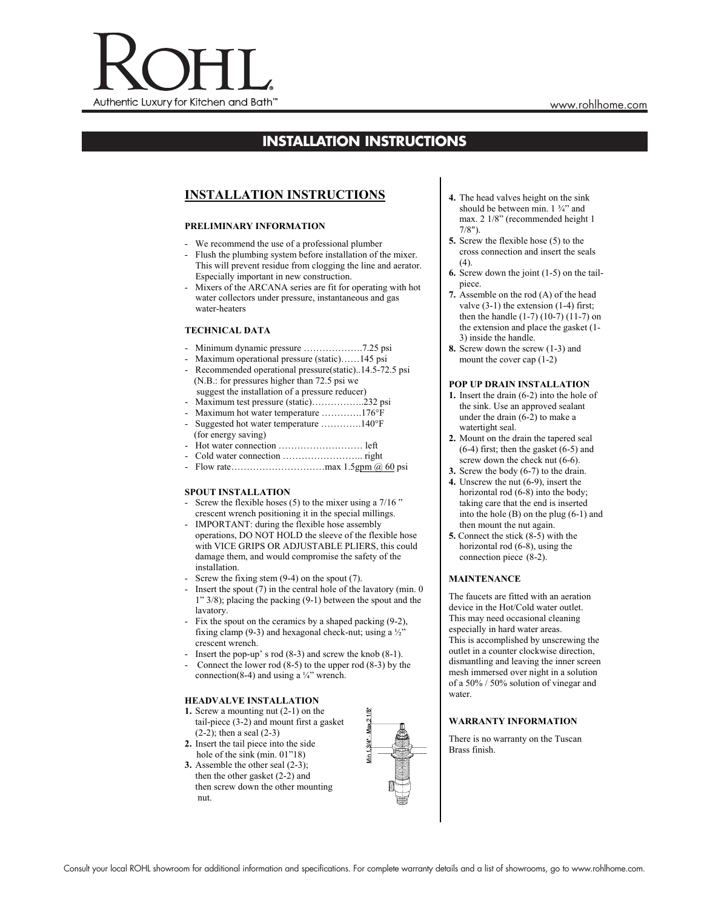

# **INSTALLATION INSTRUCTIONS**

### **INSTALLATION INSTRUCTIONS**

#### **PRELIMINARY INFORMATION**

- We recommend the use of a professional plumber
- Flush the plumbing system before installation of the mixer. This will prevent residue from clogging the line and aerator. Especially important in new construction.
- Mixers of the ARCANA series are fit for operating with hot water collectors under pressure, instantaneous and gas water-heaters

#### **TECHNICAL DATA**

- Minimum dynamic pressure ……………….7.25 psi
- Maximum operational pressure (static)……145 psi
- Recommended operational pressure(static)..14.5-72.5 psi (N.B.: for pressures higher than 72.5 psi we suggest the installation of a pressure reducer)
- Maximum test pressure (static)……………..232 psi
- Maximum hot water temperature ………….176°F
- Suggested hot water temperature ………….140°F (for energy saving)
- Hot water connection ……………………… left
- Cold water connection …………………….. right
- Flow rate…………………………max 1.5gpm @ 60 psi

#### **SPOUT INSTALLATION**

- Screw the flexible hoses  $(5)$  to the mixer using a  $7/16$ " crescent wrench positioning it in the special millings.
- IMPORTANT: during the flexible hose assembly operations, DO NOT HOLD the sleeve of the flexible hose with VICE GRIPS OR ADJUSTABLE PLIERS, this could damage them, and would compromise the safety of the installation.
- Screw the fixing stem  $(9-4)$  on the spout  $(7)$ .
- Insert the spout  $(7)$  in the central hole of the lavatory (min. 0) 1" 3/8); placing the packing (9-1) between the spout and the lavatory.
- Fix the spout on the ceramics by a shaped packing (9-2), fixing clamp (9-3) and hexagonal check-nut; using a  $\frac{1}{2}$ " crescent wrench.
- Insert the pop-up' s rod  $(8-3)$  and screw the knob  $(8-1)$ .
- Connect the lower rod  $(8-5)$  to the upper rod  $(8-3)$  by the connection(8-4) and using a  $\frac{1}{4}$ " wrench.

#### **HEADVALVE INSTALLATION**

- **1.** Screw a mounting nut (2-1) on the tail-piece (3-2) and mount first a gasket  $(2-2)$ ; then a seal  $(2-3)$
- **2.** Insert the tail piece into the side hole of the sink (min. 01"18)
- **3.** Assemble the other seal (2-3); then the other gasket (2-2) and then screw down the other mounting nut.



- **4.** The head valves height on the sink should be between min.  $1 \frac{3}{4}$  and max. 2 1/8" (recommended height 1 7/8").
- **5.** Screw the flexible hose (5) to the cross connection and insert the seals  $(4)$ .
- **6.** Screw down the joint (1-5) on the tailpiece.
- **7.** Assemble on the rod (A) of the head valve (3-1) the extension (1-4) first; then the handle (1-7) (10-7) (11-7) on the extension and place the gasket (1- 3) inside the handle.
- **8.** Screw down the screw (1-3) and mount the cover cap (1-2)

#### **POP UP DRAIN INSTALLATION**

- **1.** Insert the drain (6-2) into the hole of the sink. Use an approved sealant under the drain (6-2) to make a watertight seal.
- **2.** Mount on the drain the tapered seal (6-4) first; then the gasket (6-5) and screw down the check nut  $(6-6)$ .
- **3.** Screw the body (6-7) to the drain. **4.** Unscrew the nut (6-9), insert the
- horizontal rod  $(6-8)$  into the body; taking care that the end is inserted into the hole (B) on the plug (6-1) and then mount the nut again.
- **5.** Connect the stick (8-5) with the horizontal rod (6-8), using the connection piece (8-2).

#### **MAINTENANCE**

The faucets are fitted with an aeration device in the Hot/Cold water outlet. This may need occasional cleaning especially in hard water areas. This is accomplished by unscrewing the outlet in a counter clockwise direction, dismantling and leaving the inner screen mesh immersed over night in a solution of a 50% / 50% solution of vinegar and water.

#### **WARRANTY INFORMATION**

There is no warranty on the Tuscan Brass finish.